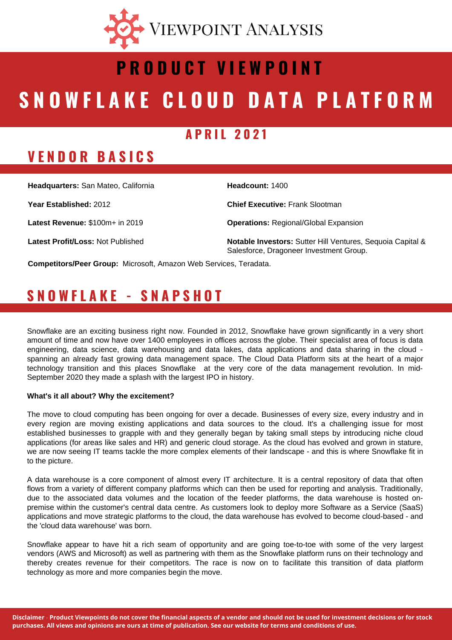

# SNOWFLAKE CLOUD DATA PLATFORM **P R O D U C T V I E W P O I N T**

#### **A P R I L 2 0 2 1**

#### **V E N D O R B A S I C S**

**Headcount:** 1400 **Chief Executive:** Frank Slootman **Operations:** Regional/Global Expansion **Notable Investors:** Sutter Hill Ventures, Sequoia Capital & Salesforce, Dragoneer Investment Group. **Headquarters:** San Mateo, California **Year Established:** 2012 **Latest Revenue:** \$100m+ in 2019 **Latest Profit/Loss:** Not Published

**Competitors/Peer Group:** Microsoft, Amazon Web Services, Teradata.

#### **S N O W F L A K E - S N A P S H O T**

Snowflake are an exciting business right now. Founded in 2012, Snowflake have grown significantly in a very short amount of time and now have over 1400 employees in offices across the globe. Their specialist area of focus is data engineering, data science, data warehousing and data lakes, data applications and data sharing in the cloud spanning an already fast growing data management space. The Cloud Data Platform sits at the heart of a major technology transition and this places Snowflake at the very core of the data management revolution. In mid-September 2020 they made a splash with the largest IPO in history.

#### **What's it all about? Why the excitement?**

The move to cloud computing has been ongoing for over a decade. Businesses of every size, every industry and in every region are moving existing applications and data sources to the cloud. It's a challenging issue for most established businesses to grapple with and they generally began by taking small steps by introducing niche cloud applications (for areas like sales and HR) and generic cloud storage. As the cloud has evolved and grown in stature, we are now seeing IT teams tackle the more complex elements of their landscape - and this is where Snowflake fit in to the picture.

A data warehouse is a core component of almost every IT architecture. It is a central repository of data that often flows from a variety of different company platforms which can then be used for reporting and analysis. Traditionally, due to the associated data volumes and the location of the feeder platforms, the data warehouse is hosted onpremise within the customer's central data centre. As customers look to deploy more Software as a Service (SaaS) applications and move strategic platforms to the cloud, the data warehouse has evolved to become cloud-based - and the 'cloud data warehouse' was born.

Snowflake appear to have hit a rich seam of opportunity and are going toe-to-toe with some of the very largest vendors (AWS and Microsoft) as well as partnering with them as the Snowflake platform runs on their technology and thereby creates revenue for their competitors. The race is now on to facilitate this transition of data platform technology as more and more companies begin the move.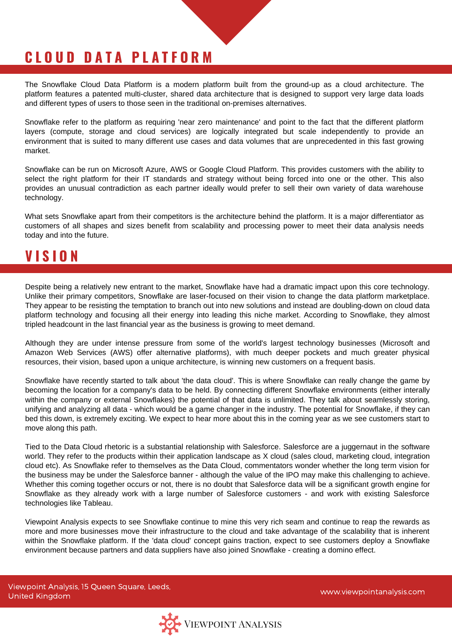## **C L O U D D A T A P L A T F O R M**

The Snowflake Cloud Data Platform is a modern platform built from the ground-up as a cloud architecture. The platform features a patented multi-cluster, shared data architecture that is designed to support very large data loads and different types of users to those seen in the traditional on-premises alternatives.

Snowflake refer to the platform as requiring 'near zero maintenance' and point to the fact that the different platform layers (compute, storage and cloud services) are logically integrated but scale independently to provide an environment that is suited to many different use cases and data volumes that are unprecedented in this fast growing market.

Snowflake can be run on Microsoft Azure, AWS or Google Cloud Platform. This provides customers with the ability to select the right platform for their IT standards and strategy without being forced into one or the other. This also provides an unusual contradiction as each partner ideally would prefer to sell their own variety of data warehouse technology.

What sets Snowflake apart from their competitors is the architecture behind the platform. It is a major differentiator as customers of all shapes and sizes benefit from scalability and processing power to meet their data analysis needs today and into the future.

#### **V I S I O N**

Despite being a relatively new entrant to the market, Snowflake have had a dramatic impact upon this core technology. Unlike their primary competitors, Snowflake are laser-focused on their vision to change the data platform marketplace. They appear to be resisting the temptation to branch out into new solutions and instead are doubling-down on cloud data platform technology and focusing all their energy into leading this niche market. According to Snowflake, they almost tripled headcount in the last financial year as the business is growing to meet demand.

Although they are under intense pressure from some of the world's largest technology businesses (Microsoft and Amazon Web Services (AWS) offer alternative platforms), with much deeper pockets and much greater physical resources, their vision, based upon a unique architecture, is winning new customers on a frequent basis.

Snowflake have recently started to talk about 'the data cloud'. This is where Snowflake can really change the game by becoming the location for a company's data to be held. By connecting different Snowflake environments (either interally within the company or external Snowflakes) the potential of that data is unlimited. They talk about seamlessly storing, unifying and analyzing all data - which would be a game changer in the industry. The potential for Snowflake, if they can bed this down, is extremely exciting. We expect to hear more about this in the coming year as we see customers start to move along this path.

Tied to the Data Cloud rhetoric is a substantial relationship with Salesforce. Salesforce are a juggernaut in the software world. They refer to the products within their application landscape as X cloud (sales cloud, marketing cloud, integration cloud etc). As Snowflake refer to themselves as the Data Cloud, commentators wonder whether the long term vision for the business may be under the Salesforce banner - although the value of the IPO may make this challenging to achieve. Whether this coming together occurs or not, there is no doubt that Salesforce data will be a significant growth engine for Snowflake as they already work with a large number of Salesforce customers - and work with existing Salesforce technologies like Tableau.

Viewpoint Analysis expects to see Snowflake continue to mine this very rich seam and continue to reap the rewards as more and more businesses move their infrastructure to the cloud and take advantage of the scalability that is inherent within the Snowflake platform. If the 'data cloud' concept gains traction, expect to see customers deploy a Snowflake environment because partners and data suppliers have also joined Snowflake - creating a domino effect.

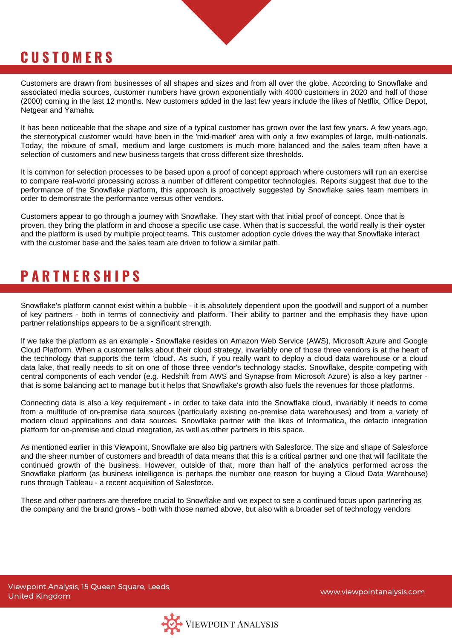## **C U S T O M E R S**

Customers are drawn from businesses of all shapes and sizes and from all over the globe. According to Snowflake and associated media sources, customer numbers have grown exponentially with 4000 customers in 2020 and half of those (2000) coming in the last 12 months. New customers added in the last few years include the likes of Netflix, Office Depot, Netgear and Yamaha.

It has been noticeable that the shape and size of a typical customer has grown over the last few years. A few years ago, the stereotypical customer would have been in the 'mid-market' area with only a few examples of large, multi-nationals. Today, the mixture of small, medium and large customers is much more balanced and the sales team often have a selection of customers and new business targets that cross different size thresholds.

It is common for selection processes to be based upon a proof of concept approach where customers will run an exercise to compare real-world processing across a number of different competitor technologies. Reports suggest that due to the performance of the Snowflake platform, this approach is proactively suggested by Snowflake sales team members in order to demonstrate the performance versus other vendors.

Customers appear to go through a journey with Snowflake. They start with that initial proof of concept. Once that is proven, they bring the platform in and choose a specific use case. When that is successful, the world really is their oyster and the platform is used by multiple project teams. This customer adoption cycle drives the way that Snowflake interact with the customer base and the sales team are driven to follow a similar path.

## **P A R T N E R S H I P S**

Snowflake's platform cannot exist within a bubble - it is absolutely dependent upon the goodwill and support of a number of key partners - both in terms of connectivity and platform. Their ability to partner and the emphasis they have upon partner relationships appears to be a significant strength.

If we take the platform as an example - Snowflake resides on Amazon Web Service (AWS), Microsoft Azure and Google Cloud Platform. When a customer talks about their cloud strategy, invariably one of those three vendors is at the heart of the technology that supports the term 'cloud'. As such, if you really want to deploy a cloud data warehouse or a cloud data lake, that really needs to sit on one of those three vendor's technology stacks. Snowflake, despite competing with central components of each vendor (e.g. Redshift from AWS and Synapse from Microsoft Azure) is also a key partner that is some balancing act to manage but it helps that Snowflake's growth also fuels the revenues for those platforms.

Connecting data is also a key requirement - in order to take data into the Snowflake cloud, invariably it needs to come from a multitude of on-premise data sources (particularly existing on-premise data warehouses) and from a variety of modern cloud applications and data sources. Snowflake partner with the likes of Informatica, the defacto integration platform for on-premise and cloud integration, as well as other partners in this space.

As mentioned earlier in this Viewpoint, Snowflake are also big partners with Salesforce. The size and shape of Salesforce and the sheer number of customers and breadth of data means that this is a critical partner and one that will facilitate the continued growth of the business. However, outside of that, more than half of the analytics performed across the Snowflake platform (as business intelligence is perhaps the number one reason for buying a Cloud Data Warehouse) runs through Tableau - a recent acquisition of Salesforce.

These and other partners are therefore crucial to Snowflake and we expect to see a continued focus upon partnering as the company and the brand grows - both with those named above, but also with a broader set of technology vendors